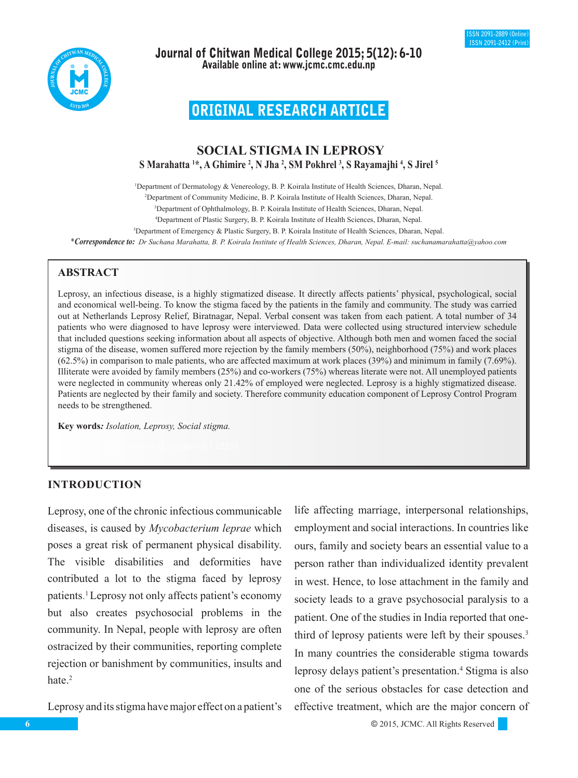



Journal of Chitwan Medical College 2015; 5(12): 6-10 Available online at: www.jcmc.cmc.edu.np

# ORIGINAL RESEARCH ARTICLE

# **SOCIAL STIGMA IN LEPROSY S Marahatta 1 \*, A Ghimire 2 , N Jha 2 , SM Pokhrel 3 , S Rayamajhi 4 , S Jirel 5**

1 Department of Dermatology & Venereology, B. P. Koirala Institute of Health Sciences, Dharan, Nepal. 2 Department of Community Medicine, B. P. Koirala Institute of Health Sciences, Dharan, Nepal. 3 Department of Ophthalmology, B. P. Koirala Institute of Health Sciences, Dharan, Nepal.

4 Department of Plastic Surgery, B. P. Koirala Institute of Health Sciences, Dharan, Nepal.

5 Department of Emergency & Plastic Surgery, B. P. Koirala Institute of Health Sciences, Dharan, Nepal.

\**Correspondence to: Dr Suchana Marahatta, B. P. Koirala Institute of Health Sciences, Dharan, Nepal. E-mail: suchanamarahatta@yahoo.com*

# **ABSTRACT**

Leprosy, an infectious disease, is a highly stigmatized disease. It directly affects patients' physical, psychological, social and economical well-being. To know the stigma faced by the patients in the family and community. The study was carried out at Netherlands Leprosy Relief, Biratnagar, Nepal. Verbal consent was taken from each patient. A total number of 34 patients who were diagnosed to have leprosy were interviewed. Data were collected using structured interview schedule that included questions seeking information about all aspects of objective. Although both men and women faced the social stigma of the disease, women suffered more rejection by the family members (50%), neighborhood (75%) and work places (62.5%) in comparison to male patients, who are affected maximum at work places (39%) and minimum in family (7.69%). Illiterate were avoided by family members (25%) and co-workers (75%) whereas literate were not. All unemployed patients were neglected in community whereas only 21.42% of employed were neglected. Leprosy is a highly stigmatized disease. Patients are neglected by their family and society. Therefore community education component of Leprosy Control Program needs to be strengthened.

**Key words***: Isolation, Leprosy, Social stigma.*

# **INTRODUCTION**

Leprosy, one of the chronic infectious communicable diseases, is caused by *Mycobacterium leprae* which poses a great risk of permanent physical disability. The visible disabilities and deformities have contributed a lot to the stigma faced by leprosy patients. 1 Leprosy not only affects patient's economy but also creates psychosocial problems in the community. In Nepal, people with leprosy are often ostracized by their communities, reporting complete rejection or banishment by communities, insults and hate.<sup>2</sup>

Leprosy and its stigma have major effect on a patient's

life affecting marriage, interpersonal relationships, employment and social interactions. In countries like ours, family and society bears an essential value to a person rather than individualized identity prevalent in west. Hence, to lose attachment in the family and society leads to a grave psychosocial paralysis to a patient. One of the studies in India reported that onethird of leprosy patients were left by their spouses.3 In many countries the considerable stigma towards leprosy delays patient's presentation.<sup>4</sup> Stigma is also one of the serious obstacles for case detection and effective treatment, which are the major concern of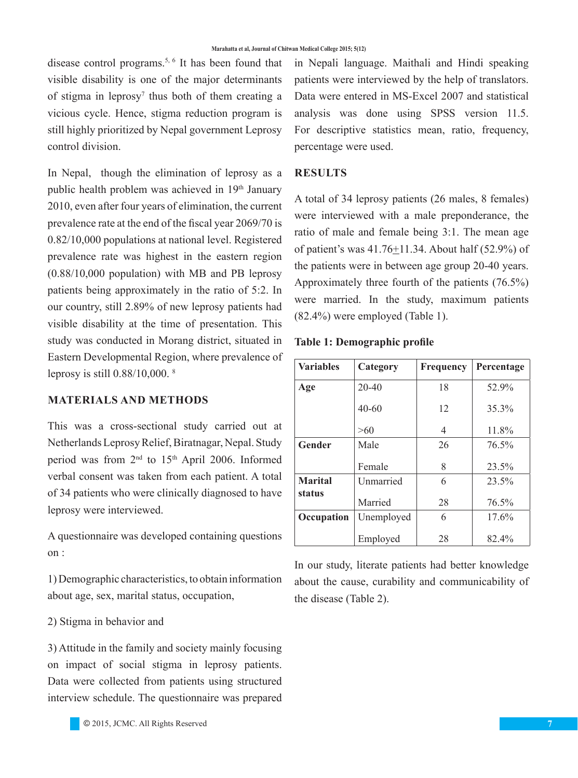disease control programs.5, 6 It has been found that visible disability is one of the major determinants of stigma in leprosy<sup>7</sup> thus both of them creating a vicious cycle. Hence, stigma reduction program is still highly prioritized by Nepal government Leprosy control division.

In Nepal, though the elimination of leprosy as a public health problem was achieved in 19th January 2010, even after four years of elimination, the current prevalence rate at the end of the fiscal year 2069/70 is 0.82/10,000 populations at national level. Registered prevalence rate was highest in the eastern region (0.88/10,000 population) with MB and PB leprosy patients being approximately in the ratio of 5:2. In our country, still 2.89% of new leprosy patients had visible disability at the time of presentation. This study was conducted in Morang district, situated in Eastern Developmental Region, where prevalence of leprosy is still 0.88/10,000. <sup>8</sup>

### **MATERIALS AND METHODS**

This was a cross-sectional study carried out at Netherlands Leprosy Relief, Biratnagar, Nepal. Study period was from 2<sup>nd</sup> to 15<sup>th</sup> April 2006. Informed verbal consent was taken from each patient. A total of 34 patients who were clinically diagnosed to have leprosy were interviewed.

A questionnaire was developed containing questions on :

1) Demographic characteristics, to obtain information about age, sex, marital status, occupation,

# 2) Stigma in behavior and

3) Attitude in the family and society mainly focusing on impact of social stigma in leprosy patients. Data were collected from patients using structured interview schedule. The questionnaire was prepared

in Nepali language. Maithali and Hindi speaking patients were interviewed by the help of translators. Data were entered in MS-Excel 2007 and statistical analysis was done using SPSS version 11.5. For descriptive statistics mean, ratio, frequency, percentage were used.

#### **RESULTS**

A total of 34 leprosy patients (26 males, 8 females) were interviewed with a male preponderance, the ratio of male and female being 3:1. The mean age of patient's was 41.76+11.34. About half (52.9%) of the patients were in between age group 20-40 years. Approximately three fourth of the patients (76.5%) were married. In the study, maximum patients (82.4%) were employed (Table 1).

#### **Table 1: Demographic profile**

| <b>Variables</b>         | Category   | <b>Frequency</b> | Percentage |
|--------------------------|------------|------------------|------------|
| Age                      | $20 - 40$  | 18               | 52.9%      |
|                          | $40 - 60$  | 12               | 35.3%      |
|                          | >60        | 4                | 11.8%      |
| <b>Gender</b>            | Male       | 26               | 76.5%      |
|                          | Female     | 8                | 23.5%      |
| <b>Marital</b><br>status | Unmarried  | 6                | 23.5%      |
|                          | Married    | 28               | 76.5%      |
| Occupation               | Unemployed | 6                | 17.6%      |
|                          | Employed   | 28               | 82.4%      |

In our study, literate patients had better knowledge about the cause, curability and communicability of the disease (Table 2).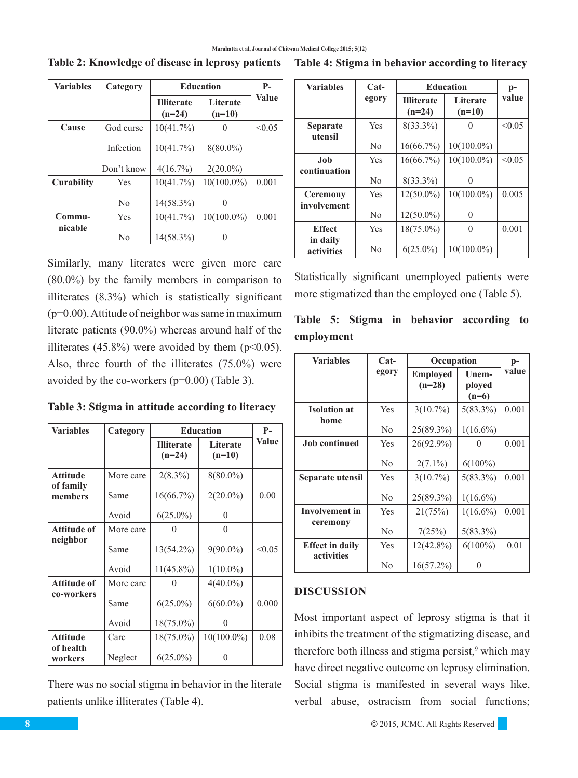| <b>Variables</b>  | Category       | <b>Education</b>              |                      | $P-$         |
|-------------------|----------------|-------------------------------|----------------------|--------------|
|                   |                | <b>Illiterate</b><br>$(n=24)$ | Literate<br>$(n=10)$ | <b>Value</b> |
| Cause             | God curse      | 10(41.7%)                     |                      | < 0.05       |
|                   | Infection      | 10(41.7%)                     | $8(80.0\%)$          |              |
|                   | Don't know     | 4(16.7%)                      | $2(20.0\%)$          |              |
| <b>Curability</b> | Yes            | 10(41.7%)                     | $10(100.0\%)$        | 0.001        |
|                   | N <sub>0</sub> | $14(58.3\%)$                  | 0                    |              |
| Commu-            | Yes            | 10(41.7%)                     | $10(100.0\%)$        | 0.001        |
| nicable           | N <sub>0</sub> | $14(58.3\%)$                  |                      |              |

Similarly, many literates were given more care (80.0%) by the family members in comparison to illiterates (8.3%) which is statistically significant (p=0.00). Attitude of neighbor was same in maximum literate patients (90.0%) whereas around half of the illiterates (45.8%) were avoided by them  $(p<0.05)$ . Also, three fourth of the illiterates (75.0%) were avoided by the co-workers (p=0.00) (Table 3).

**Table 3: Stigma in attitude according to literacy** 

| <b>Variables</b>     | Category  | <b>Education</b>              | $P-$                 |        |
|----------------------|-----------|-------------------------------|----------------------|--------|
|                      |           | <b>Illiterate</b><br>$(n=24)$ | Literate<br>$(n=10)$ | Value  |
| Attitude             | More care | $2(8.3\%)$                    | $8(80.0\%)$          |        |
| of family<br>members | Same      | 16(66.7%)                     | $2(20.0\%)$          | 0.00   |
|                      | Avoid     | $6(25.0\%)$                   | $\Omega$             |        |
| <b>Attitude of</b>   | More care |                               | 0                    |        |
| neighbor             | Same      | 13(54.2%)                     | $9(90.0\%)$          | < 0.05 |
|                      | Avoid     | $11(45.8\%)$                  | $1(10.0\%)$          |        |
| <b>Attitude of</b>   | More care |                               | $4(40.0\%)$          |        |
| co-workers           | Same      | $6(25.0\%)$                   | $6(60.0\%)$          | 0.000  |
|                      | Avoid     | $18(75.0\%)$                  | 0                    |        |
| Attitude             | Care      | $18(75.0\%)$                  | $10(100.0\%)$        | 0.08   |
| of health<br>workers | Neglect   | $6(25.0\%)$                   |                      |        |

There was no social stigma in behavior in the literate patients unlike illiterates (Table 4).

**Table 2: Knowledge of disease in leprosy patients Table 4: Stigma in behavior according to literacy**

| <b>Variables</b>           | $Cat-$         | <b>Education</b>              |                      | $p-$   |
|----------------------------|----------------|-------------------------------|----------------------|--------|
|                            | egory          | <b>Illiterate</b><br>$(n=24)$ | Literate<br>$(n=10)$ | value  |
| <b>Separate</b><br>utensil | Yes            | $8(33.3\%)$                   |                      | < 0.05 |
|                            | N <sub>0</sub> | 16(66.7%)                     | $10(100.0\%)$        |        |
| Job                        | Yes            | 16(66.7%)                     | $10(100.0\%)$        | < 0.05 |
| continuation               | N <sub>0</sub> | $8(33.3\%)$                   | $\left( \right)$     |        |
| <b>Ceremony</b>            | Yes            | $12(50.0\%)$                  | $10(100.0\%)$        | 0.005  |
| involvement                | N <sub>0</sub> | $12(50.0\%)$                  | 0                    |        |
| <b>Effect</b>              | Yes            | $18(75.0\%)$                  | 0                    | 0.001  |
| in daily<br>activities     | N <sub>0</sub> | $6(25.0\%)$                   | $10(100.0\%)$        |        |

Statistically significant unemployed patients were more stigmatized than the employed one (Table 5).

|            |  |  | Table 5: Stigma in behavior according to |  |
|------------|--|--|------------------------------------------|--|
| employment |  |  |                                          |  |

| <b>Variables</b>            | $Cat-$         | Occupation                  |                            | p-    |
|-----------------------------|----------------|-----------------------------|----------------------------|-------|
|                             | egory          | <b>Employed</b><br>$(n=28)$ | Unem-<br>ployed<br>$(n=6)$ | value |
| <b>Isolation at</b><br>home | Yes            | $3(10.7\%)$                 | $5(83.3\%)$                | 0.001 |
|                             | No             | 25(89.3%)                   | $1(16.6\%)$                |       |
| <b>Job continued</b>        | Yes            | 26(92.9%)                   |                            | 0.001 |
|                             | N <sub>0</sub> | $2(7.1\%)$                  | $6(100\%)$                 |       |
| Separate utensil            | Yes            | $3(10.7\%)$                 | $5(83.3\%)$                | 0.001 |
|                             | N <sub>0</sub> | 25(89.3%)                   | $1(16.6\%)$                |       |
| <b>Involvement</b> in       | Yes            | 21(75%)                     | $1(16.6\%)$                | 0.001 |
| ceremony                    | N <sub>0</sub> | 7(25%)                      | $5(83.3\%)$                |       |
| <b>Effect in daily</b>      | Yes            | $12(42.8\%)$                | $6(100\%)$                 | 0.01  |
| activities                  | N <sub>0</sub> | 16(57.2%)                   |                            |       |

# **DISCUSSION**

Most important aspect of leprosy stigma is that it inhibits the treatment of the stigmatizing disease, and therefore both illness and stigma persist,<sup>9</sup> which may have direct negative outcome on leprosy elimination. Social stigma is manifested in several ways like, verbal abuse, ostracism from social functions;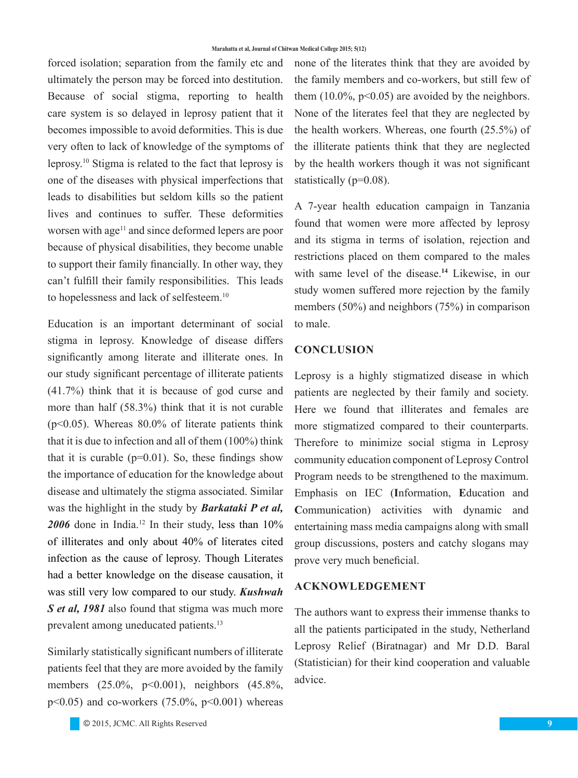forced isolation; separation from the family etc and ultimately the person may be forced into destitution. Because of social stigma, reporting to health care system is so delayed in leprosy patient that it becomes impossible to avoid deformities. This is due very often to lack of knowledge of the symptoms of leprosy.10 Stigma is related to the fact that leprosy is one of the diseases with physical imperfections that leads to disabilities but seldom kills so the patient lives and continues to suffer. These deformities worsen with age<sup>11</sup> and since deformed lepers are poor because of physical disabilities, they become unable to support their family financially. In other way, they can't fulfill their family responsibilities. This leads to hopelessness and lack of selfesteem.10

Education is an important determinant of social stigma in leprosy. Knowledge of disease differs significantly among literate and illiterate ones. In our study significant percentage of illiterate patients (41.7%) think that it is because of god curse and more than half (58.3%) think that it is not curable  $(p<0.05)$ . Whereas 80.0% of literate patients think that it is due to infection and all of them (100%) think that it is curable  $(p=0.01)$ . So, these findings show the importance of education for the knowledge about disease and ultimately the stigma associated. Similar was the highlight in the study by *Barkataki P et al, 2006* done in India.12 In their study, less than 10% of illiterates and only about 40% of literates cited infection as the cause of leprosy. Though Literates had a better knowledge on the disease causation, it was still very low compared to our study. *Kushwah S et al, 1981* also found that stigma was much more prevalent among uneducated patients.<sup>13</sup>

Similarly statistically significant numbers of illiterate patients feel that they are more avoided by the family members (25.0%, p<0.001), neighbors (45.8%,  $p<0.05$ ) and co-workers (75.0%,  $p<0.001$ ) whereas none of the literates think that they are avoided by the family members and co-workers, but still few of them  $(10.0\% \, \text{p} < 0.05)$  are avoided by the neighbors. None of the literates feel that they are neglected by the health workers. Whereas, one fourth (25.5%) of the illiterate patients think that they are neglected by the health workers though it was not significant statistically (p=0.08).

A 7-year health education campaign in Tanzania found that women were more affected by leprosy and its stigma in terms of isolation, rejection and restrictions placed on them compared to the males with same level of the disease.**<sup>14</sup>** Likewise, in our study women suffered more rejection by the family members (50%) and neighbors (75%) in comparison to male.

# **CONCLUSION**

Leprosy is a highly stigmatized disease in which patients are neglected by their family and society. Here we found that illiterates and females are more stigmatized compared to their counterparts. Therefore to minimize social stigma in Leprosy community education component of Leprosy Control Program needs to be strengthened to the maximum. Emphasis on IEC (**I**nformation, **E**ducation and **C**ommunication) activities with dynamic and entertaining mass media campaigns along with small group discussions, posters and catchy slogans may prove very much beneficial.

# **ACKNOWLEDGEMENT**

The authors want to express their immense thanks to all the patients participated in the study, Netherland Leprosy Relief (Biratnagar) and Mr D.D. Baral (Statistician) for their kind cooperation and valuable advice.